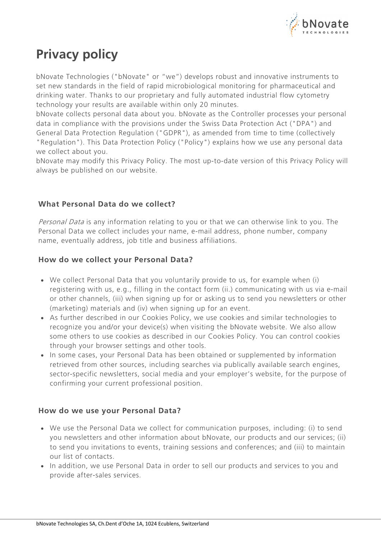

# **Privacy policy**

bNovate Technologies ("bNovate" or "we") develops robust and innovative instruments to set new standards in the field of rapid microbiological monitoring for pharmaceutical and drinking water. Thanks to our proprietary and fully automated industrial flow cytometry technology your results are available within only 20 minutes.

bNovate collects personal data about you. bNovate as the Controller processes your personal data in compliance with the provisions under the Swiss Data Protection Act ("DPA") and General Data Protection Regulation ("GDPR"), as amended from time to time (collectively "Regulation"). This Data Protection Policy ("Policy") explains how we use any personal data we collect about you.

bNovate may modify this Privacy Policy. The most up-to-date version of this Privacy Policy will always be published on our [website.](https://www.bnovate.com/privacy-policy)

# **What Personal Data do we collect?**

Personal Data is any information relating to you or that we can otherwise link to you. The Personal Data we collect includes your name, e-mail address, phone number, company name, eventually address, job title and business affiliations.

# **How do we collect your Personal Data?**

- We collect Personal Data that you voluntarily provide to us, for example when (i) registering with us, e.g., filling in the contact form (ii.) communicating with us via e-mail or other channels, (iii) when signing up for or asking us to send you newsletters or other (marketing) materials and (iv) when signing up for an event.
- As further described in our Cookies Policy, we use cookies and similar technologies to recognize you and/or your device(s) when visiting the bNovate website. We also allow some others to use cookies as described in our Cookies Policy. You can control cookies through your browser settings and other tools.
- In some cases, your Personal Data has been obtained or supplemented by information retrieved from other sources, including searches via publically available search engines, sector-specific newsletters, social media and your employer's website, for the purpose of confirming your current professional position.

## **How do we use your Personal Data?**

- We use the Personal Data we collect for communication purposes, including: (i) to send you newsletters and other information about bNovate, our products and our services; (ii) to send you invitations to events, training sessions and conferences; and (iii) to maintain our list of contacts.
- In addition, we use Personal Data in order to sell our products and services to you and provide after-sales services.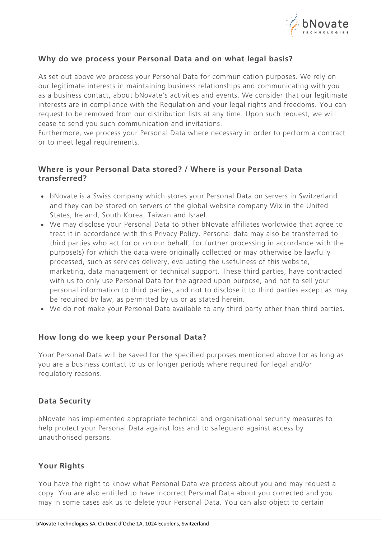

## **Why do we process your Personal Data and on what legal basis?**

As set out above we process your Personal Data for communication purposes. We rely on our legitimate interests in maintaining business relationships and communicating with you as a business contact, about bNovate's activities and events. We consider that our legitimate interests are in compliance with the Regulation and your legal rights and freedoms. You can request to be removed from our distribution lists at any time. Upon such request, we will cease to send you such communication and invitations.

Furthermore, we process your Personal Data where necessary in order to perform a contract or to meet legal requirements.

### **Where is your Personal Data stored? / Where is your Personal Data transferred?**

- bNovate is a Swiss company which stores your Personal Data on servers in Switzerland and they can be stored on servers of the global website company Wix in the United States, Ireland, South Korea, Taiwan and Israel.
- We may disclose your Personal Data to other bNovate affiliates worldwide that agree to treat it in accordance with this Privacy Policy. Personal data may also be transferred to third parties who act for or on our behalf, for further processing in accordance with the purpose(s) for which the data were originally collected or may otherwise be lawfully processed, such as services delivery, evaluating the usefulness of this website, marketing, data management or technical support. These third parties, have contracted with us to only use Personal Data for the agreed upon purpose, and not to sell your personal information to third parties, and not to disclose it to third parties except as may be required by law, as permitted by us or as stated herein.
- We do not make your Personal Data available to any third party other than third parties.

### **How long do we keep your Personal Data?**

Your Personal Data will be saved for the specified purposes mentioned above for as long as you are a business contact to us or longer periods where required for legal and/or regulatory reasons.

### **Data Security**

bNovate has implemented appropriate technical and organisational security measures to help protect your Personal Data against loss and to safeguard against access by unauthorised persons.

### **Your Rights**

You have the right to know what Personal Data we process about you and may request a copy. You are also entitled to have incorrect Personal Data about you corrected and you may in some cases ask us to delete your Personal Data. You can also object to certain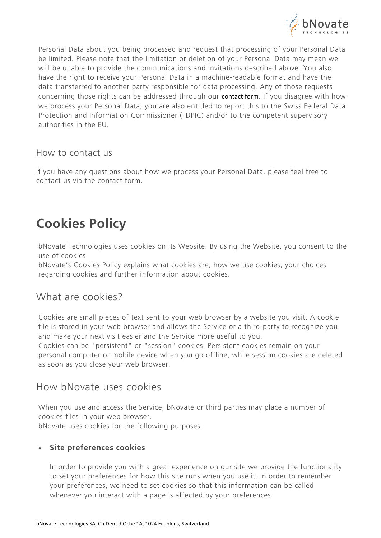

Personal Data about you being processed and request that processing of your Personal Data be limited. Please note that the limitation or deletion of your Personal Data may mean we will be unable to provide the communications and invitations described above. You also have the right to receive your Personal Data in a machine-readable format and have the data transferred to another party responsible for data processing. Any of those requests concerning those rights can be addressed through our [contact form](https://www.bnovate.com/contact). If you disagree with how we process your Personal Data, you are also entitled to report this to the Swiss Federal Data Protection and Information Commissioner (FDPIC) and/or to the competent supervisory authorities in the EU.

# How to contact us

If you have any questions about how we process your Personal Data, please feel free to contact us via the [contact form.](https://www.bnovate.com/contact)

# **Cookies Policy**

bNovate Technologies uses cookies on its Website. By using the Website, you consent to the use of cookies.

bNovate's Cookies Policy explains what cookies are, how we use cookies, your choices regarding cookies and further information about cookies.

# What are cookies?

Cookies are small pieces of text sent to your web browser by a website you visit. A cookie file is stored in your web browser and allows the Service or a third-party to recognize you and make your next visit easier and the Service more useful to you.

Cookies can be "persistent" or "session" cookies. Persistent cookies remain on your personal computer or mobile device when you go offline, while session cookies are deleted as soon as you close your web browser.

# How bNovate uses cookies

When you use and access the Service, bNovate or third parties may place a number of cookies files in your web browser.

bNovate uses cookies for the following purposes:

# • **Site preferences cookies**

In order to provide you with a great experience on our site we provide the functionality to set your preferences for how this site runs when you use it. In order to remember your preferences, we need to set cookies so that this information can be called whenever you interact with a page is affected by your preferences.